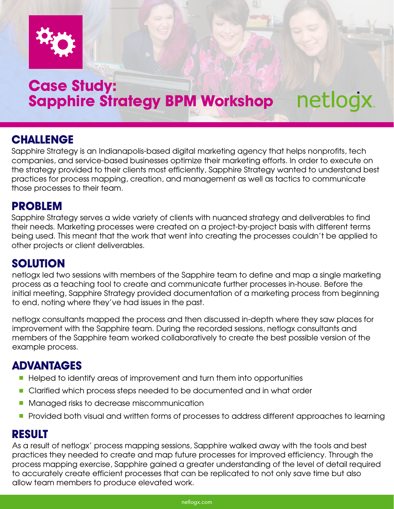

### **Case Study:** netlogx **Sapphire Strategy BPM Workshop**

### **CHALLENGE**

Sapphire Strategy is an Indianapolis-based digital marketing agency that helps nonprofits, tech companies, and service-based businesses optimize their marketing efforts. In order to execute on the strategy provided to their clients most efficiently, Sapphire Strategy wanted to understand best practices for process mapping, creation, and management as well as tactics to communicate those processes to their team.

### **PROBLEM**

Sapphire Strategy serves a wide variety of clients with nuanced strategy and deliverables to find their needs. Marketing processes were created on a project-by-project basis with different terms being used. This meant that the work that went into creating the processes couldn't be applied to other projects or client deliverables.

# **SOLUTION**

netlogx led two sessions with members of the Sapphire team to define and map a single marketing process as a teaching tool to create and communicate further processes in-house. Before the initial meeting, Sapphire Strategy provided documentation of a marketing process from beginning to end, noting where they've had issues in the past.

netlogx consultants mapped the process and then discussed in-depth where they saw places for improvement with the Sapphire team. During the recorded sessions, netlogx consultants and members of the Sapphire team worked collaboratively to create the best possible version of the example process.

## **ADVANTAGES**

- Helped to identify areas of improvement and turn them into opportunities
- Clarified which process steps needed to be documented and in what order
- Managed risks to decrease miscommunication П
- **Provided both visual and written forms of processes to address different approaches to learning**

#### **RESULT**

As a result of netlogx' process mapping sessions, Sapphire walked away with the tools and best practices they needed to create and map future processes for improved efficiency. Through the process mapping exercise, Sapphire gained a greater understanding of the level of detail required to accurately create efficient processes that can be replicated to not only save time but also allow team members to produce elevated work.